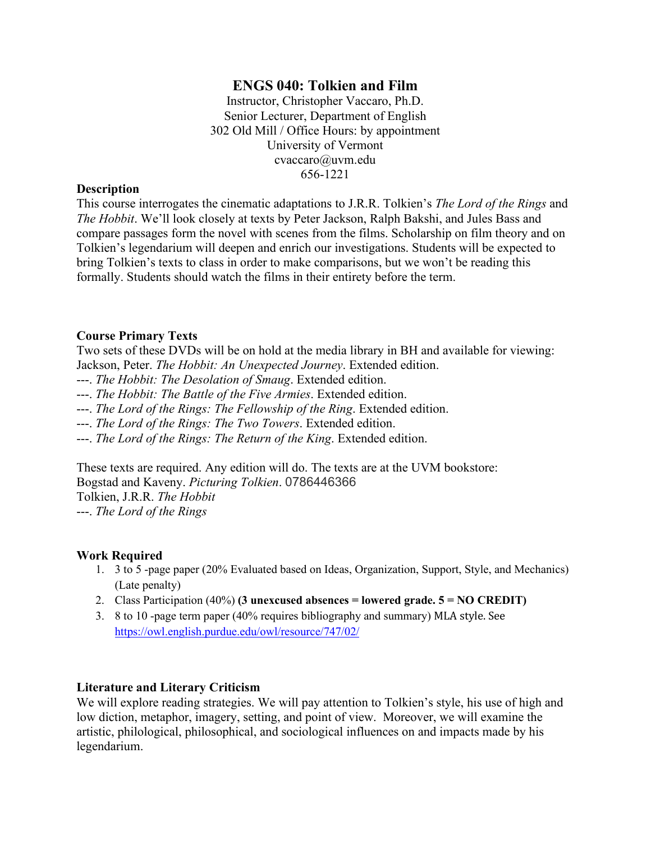## **ENGS 040: Tolkien and Film**

Instructor, Christopher Vaccaro, Ph.D. Senior Lecturer, Department of English 302 Old Mill / Office Hours: by appointment University of Vermont cvaccaro@uvm.edu 656-1221

## **Description**

This course interrogates the cinematic adaptations to J.R.R. Tolkien's *The Lord of the Rings* and *The Hobbit*. We'll look closely at texts by Peter Jackson, Ralph Bakshi, and Jules Bass and compare passages form the novel with scenes from the films. Scholarship on film theory and on Tolkien's legendarium will deepen and enrich our investigations. Students will be expected to bring Tolkien's texts to class in order to make comparisons, but we won't be reading this formally. Students should watch the films in their entirety before the term.

## **Course Primary Texts**

Two sets of these DVDs will be on hold at the media library in BH and available for viewing: Jackson, Peter. *The Hobbit: An Unexpected Journey*. Extended edition.

- ---. *The Hobbit: The Desolation of Smaug*. Extended edition.
- ---. *The Hobbit: The Battle of the Five Armies*. Extended edition.
- ---. *The Lord of the Rings: The Fellowship of the Ring*. Extended edition.
- ---. *The Lord of the Rings: The Two Towers*. Extended edition.
- ---. *The Lord of the Rings: The Return of the King*. Extended edition.

These texts are required. Any edition will do. The texts are at the UVM bookstore: Bogstad and Kaveny. *Picturing Tolkien*. 0786446366 Tolkien, J.R.R. *The Hobbit* ---. *The Lord of the Rings*

## **Work Required**

- 1. 3 to 5 -page paper (20% Evaluated based on Ideas, Organization, Support, Style, and Mechanics) (Late penalty)
- 2. Class Participation (40%) **(3 unexcused absences = lowered grade. 5 = NO CREDIT)**
- 3. 8 to 10 -page term paper (40% requires bibliography and summary) MLA style. See <https://owl.english.purdue.edu/owl/resource/747/02/>

## **Literature and Literary Criticism**

We will explore reading strategies. We will pay attention to Tolkien's style, his use of high and low diction, metaphor, imagery, setting, and point of view. Moreover, we will examine the artistic, philological, philosophical, and sociological influences on and impacts made by his legendarium.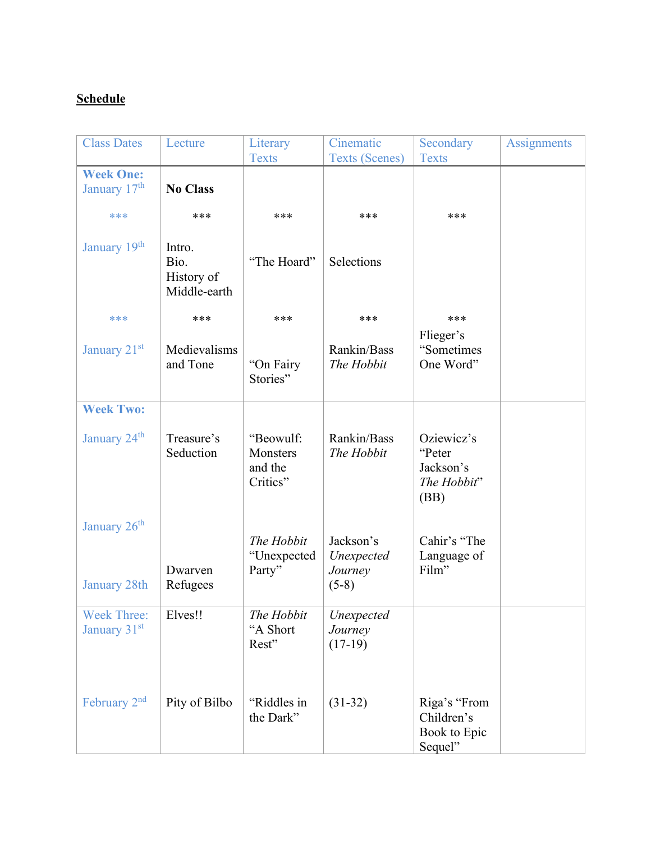# **Schedule**

| <b>Class Dates</b>       | Lecture                 | Literary                 | Cinematic                 | Secondary                  | Assignments |
|--------------------------|-------------------------|--------------------------|---------------------------|----------------------------|-------------|
| <b>Week One:</b>         |                         | <b>Texts</b>             | <b>Texts (Scenes)</b>     | <b>Texts</b>               |             |
| January 17th             | <b>No Class</b>         |                          |                           |                            |             |
|                          |                         |                          |                           |                            |             |
| ***                      | ***                     | ***                      | ***                       | ***                        |             |
|                          |                         |                          |                           |                            |             |
| January 19th             | Intro.                  |                          |                           |                            |             |
|                          | Bio.                    | "The Hoard"              | Selections                |                            |             |
|                          | History of              |                          |                           |                            |             |
|                          | Middle-earth            |                          |                           |                            |             |
| ***                      | ***                     | ***                      | ***                       | ***                        |             |
|                          |                         |                          |                           | Flieger's                  |             |
| January 21st             | Medievalisms            |                          | Rankin/Bass               | "Sometimes"                |             |
|                          | and Tone                | "On Fairy                | The Hobbit                | One Word"                  |             |
|                          |                         | Stories"                 |                           |                            |             |
|                          |                         |                          |                           |                            |             |
| <b>Week Two:</b>         |                         |                          |                           |                            |             |
|                          |                         |                          |                           |                            |             |
| January 24 <sup>th</sup> | Treasure's<br>Seduction | "Beowulf:<br>Monsters    | Rankin/Bass<br>The Hobbit | Oziewicz's<br>"Peter       |             |
|                          |                         | and the                  |                           | Jackson's                  |             |
|                          |                         | Critics"                 |                           | The Hobbit"                |             |
|                          |                         |                          |                           | (BB)                       |             |
|                          |                         |                          |                           |                            |             |
| January 26 <sup>th</sup> |                         |                          |                           |                            |             |
|                          |                         | The Hobbit               | Jackson's                 | Cahir's "The               |             |
|                          |                         | "Unexpected              | Unexpected                | Language of                |             |
|                          | Dwarven                 | Party"                   | Journey                   | Film"                      |             |
| <b>January 28th</b>      | Refugees                |                          | $(5-8)$                   |                            |             |
| <b>Week Three:</b>       | Elves!!                 | The Hobbit               | Unexpected                |                            |             |
| January 31 <sup>st</sup> |                         | "A Short                 | Journey                   |                            |             |
|                          |                         | Rest"                    | $(17-19)$                 |                            |             |
|                          |                         |                          |                           |                            |             |
|                          |                         |                          |                           |                            |             |
|                          |                         |                          |                           |                            |             |
| February 2nd             | Pity of Bilbo           | "Riddles in<br>the Dark" | $(31-32)$                 | Riga's "From<br>Children's |             |
|                          |                         |                          |                           | Book to Epic               |             |
|                          |                         |                          |                           | Sequel"                    |             |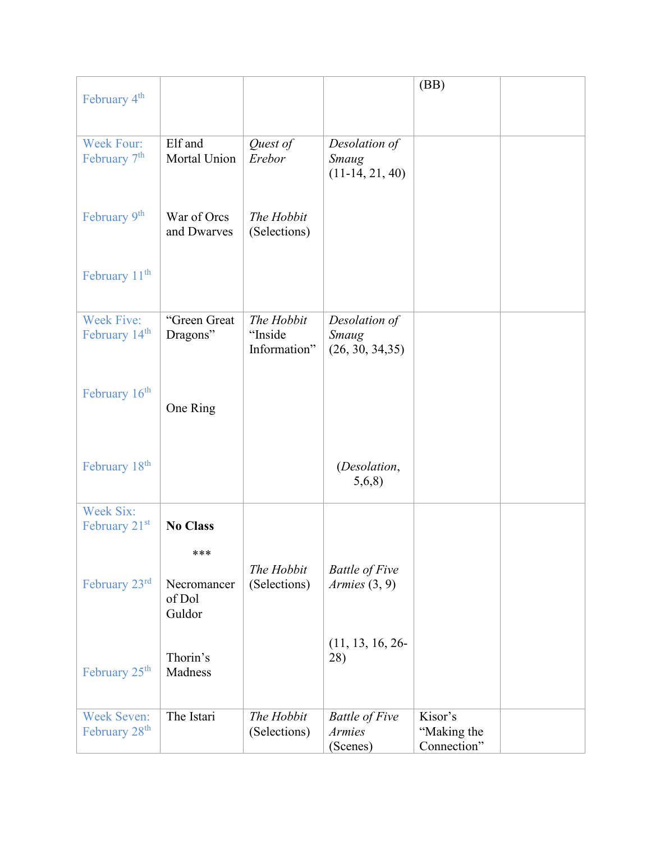|                           |                  |                         |                           | (BB)                       |  |
|---------------------------|------------------|-------------------------|---------------------------|----------------------------|--|
| February 4 <sup>th</sup>  |                  |                         |                           |                            |  |
|                           |                  |                         |                           |                            |  |
|                           |                  |                         |                           |                            |  |
| <b>Week Four:</b>         | Elf and          | Quest of                | Desolation of             |                            |  |
| February 7 <sup>th</sup>  | Mortal Union     | Erebor                  | Smaug                     |                            |  |
|                           |                  |                         | $(11-14, 21, 40)$         |                            |  |
|                           |                  |                         |                           |                            |  |
| February 9th              | War of Orcs      | The Hobbit              |                           |                            |  |
|                           | and Dwarves      | (Selections)            |                           |                            |  |
|                           |                  |                         |                           |                            |  |
|                           |                  |                         |                           |                            |  |
| February $11th$           |                  |                         |                           |                            |  |
|                           |                  |                         |                           |                            |  |
|                           |                  |                         |                           |                            |  |
| <b>Week Five:</b>         | "Green Great     | The Hobbit              | Desolation of             |                            |  |
| February 14 <sup>th</sup> | Dragons"         | "Inside<br>Information" | Smaug<br>(26, 30, 34, 35) |                            |  |
|                           |                  |                         |                           |                            |  |
|                           |                  |                         |                           |                            |  |
| February 16 <sup>th</sup> |                  |                         |                           |                            |  |
|                           | One Ring         |                         |                           |                            |  |
|                           |                  |                         |                           |                            |  |
|                           |                  |                         |                           |                            |  |
|                           |                  |                         |                           |                            |  |
| February 18 <sup>th</sup> |                  |                         | (Desolation,              |                            |  |
|                           |                  |                         | 5,6,8                     |                            |  |
| <b>Week Six:</b>          |                  |                         |                           |                            |  |
| February 21st             | <b>No Class</b>  |                         |                           |                            |  |
|                           |                  |                         |                           |                            |  |
|                           | ***              |                         |                           |                            |  |
|                           |                  | The Hobbit              | <b>Battle of Five</b>     |                            |  |
| February 23rd             | Necromancer      | (Selections)            | Armies $(3, 9)$           |                            |  |
|                           | of Dol<br>Guldor |                         |                           |                            |  |
|                           |                  |                         |                           |                            |  |
|                           |                  |                         | (11, 13, 16, 26           |                            |  |
|                           | Thorin's         |                         | 28)                       |                            |  |
| February 25 <sup>th</sup> | Madness          |                         |                           |                            |  |
|                           |                  |                         |                           |                            |  |
|                           |                  |                         |                           |                            |  |
| <b>Week Seven:</b>        | The Istari       | The Hobbit              | <b>Battle of Five</b>     | Kisor's                    |  |
| February 28 <sup>th</sup> |                  | (Selections)            | <b>Armies</b>             | "Making the<br>Connection" |  |
|                           |                  |                         | (Scenes)                  |                            |  |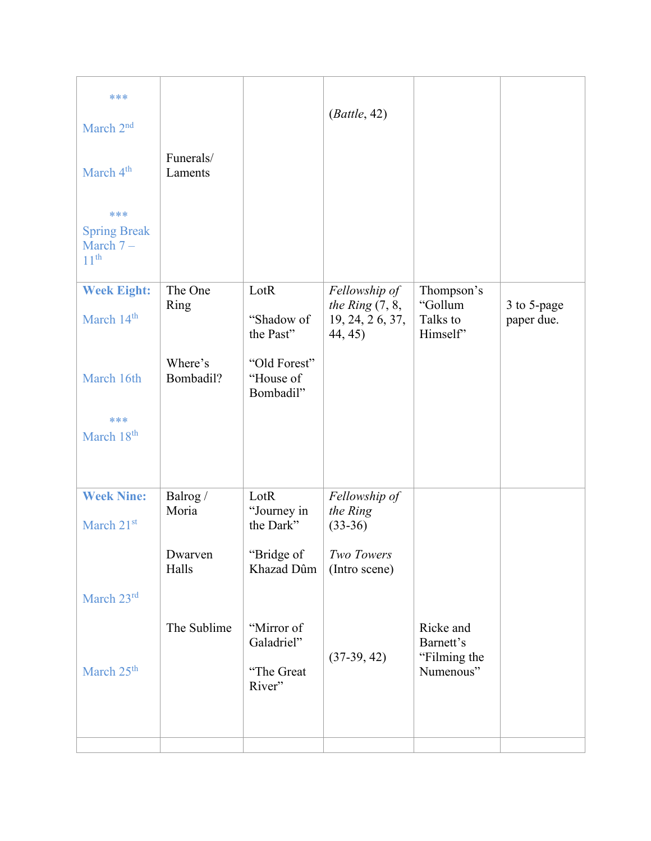| ***<br>March 2 <sup>nd</sup><br>March 4 <sup>th</sup><br>$* * *$<br><b>Spring Break</b><br>March $7-$<br>11 <sup>th</sup><br><b>Week Eight:</b> | Funerals/<br>Laments<br>The One | LotR                                             | (Battle, 42)<br>Fellowship of                      | Thompson's                                          |                           |
|-------------------------------------------------------------------------------------------------------------------------------------------------|---------------------------------|--------------------------------------------------|----------------------------------------------------|-----------------------------------------------------|---------------------------|
| March 14th                                                                                                                                      | Ring                            | "Shadow of<br>the Past"                          | the Ring $(7, 8, 1)$<br>19, 24, 26, 37,<br>44, 45) | "Gollum<br>Talks to<br>Himself'                     | 3 to 5-page<br>paper due. |
| March 16th<br>***<br>March 18 <sup>th</sup>                                                                                                     | Where's<br>Bombadil?            | "Old Forest"<br>"House of<br>Bombadil"           |                                                    |                                                     |                           |
|                                                                                                                                                 |                                 |                                                  |                                                    |                                                     |                           |
| <b>Week Nine:</b><br>March 21st                                                                                                                 | Balrog/<br>Moria                | LotR<br>"Journey in<br>the Dark"                 | Fellowship of<br>the Ring<br>$(33-36)$             |                                                     |                           |
|                                                                                                                                                 | Dwarven<br>Halls                | "Bridge of<br>Khazad Dûm                         | Two Towers<br>(Intro scene)                        |                                                     |                           |
| March 23rd                                                                                                                                      |                                 |                                                  |                                                    |                                                     |                           |
| March 25 <sup>th</sup>                                                                                                                          | The Sublime                     | "Mirror of<br>Galadriel"<br>"The Great<br>River" | $(37-39, 42)$                                      | Ricke and<br>Barnett's<br>"Filming the<br>Numenous" |                           |
|                                                                                                                                                 |                                 |                                                  |                                                    |                                                     |                           |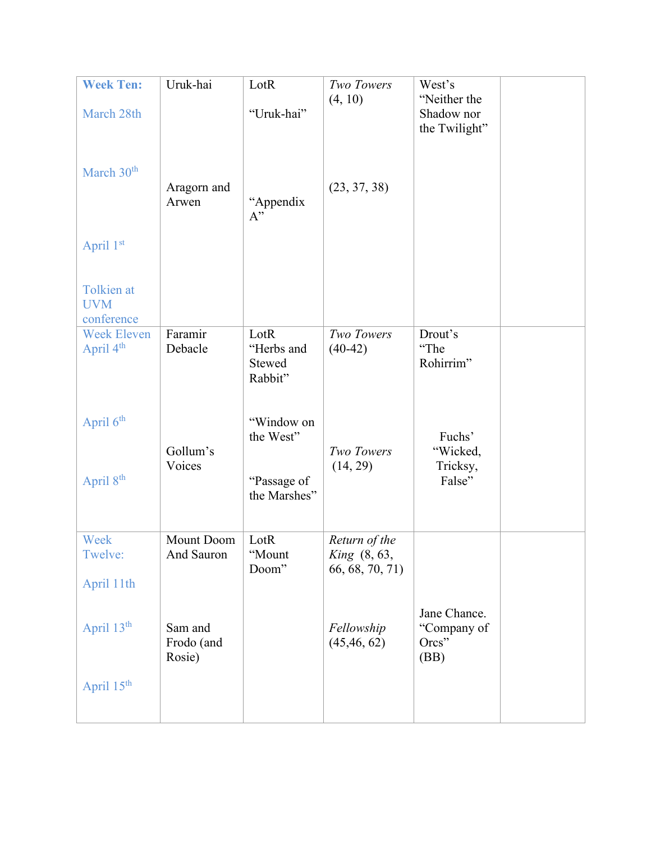| <b>Week Ten:</b>                            | Uruk-hai                        | LotR                                                   | Two Towers                                              | West's                                       |  |
|---------------------------------------------|---------------------------------|--------------------------------------------------------|---------------------------------------------------------|----------------------------------------------|--|
| March 28th                                  |                                 | "Uruk-hai"                                             | (4, 10)                                                 | "Neither the<br>Shadow nor<br>the Twilight"  |  |
| March 30 <sup>th</sup>                      | Aragorn and<br>Arwen            | "Appendix<br>A"                                        | (23, 37, 38)                                            |                                              |  |
| April 1st                                   |                                 |                                                        |                                                         |                                              |  |
| Tolkien at<br><b>UVM</b><br>conference      |                                 |                                                        |                                                         |                                              |  |
| <b>Week Eleven</b><br>April 4 <sup>th</sup> | Faramir<br>Debacle              | LotR<br>"Herbs and<br>Stewed<br>Rabbit"                | Two Towers<br>$(40-42)$                                 | Drout's<br>"The<br>Rohirrim"                 |  |
| April 6th<br>April 8 <sup>th</sup>          | Gollum's<br>Voices              | "Window on<br>the West"<br>"Passage of<br>the Marshes" | Two Towers<br>(14, 29)                                  | Fuchs'<br>"Wicked,<br>Tricksy,<br>False"     |  |
| Week<br>Twelve:                             | <b>Mount Doom</b><br>And Sauron | LotR<br>"Mount<br>Doom"                                | Return of the<br><i>King</i> (8, 63,<br>66, 68, 70, 71) |                                              |  |
| April 11th                                  |                                 |                                                        |                                                         |                                              |  |
| April 13th                                  | Sam and<br>Frodo (and<br>Rosie) |                                                        | Fellowship<br>(45, 46, 62)                              | Jane Chance.<br>"Company of<br>Orcs"<br>(BB) |  |
| April 15 <sup>th</sup>                      |                                 |                                                        |                                                         |                                              |  |